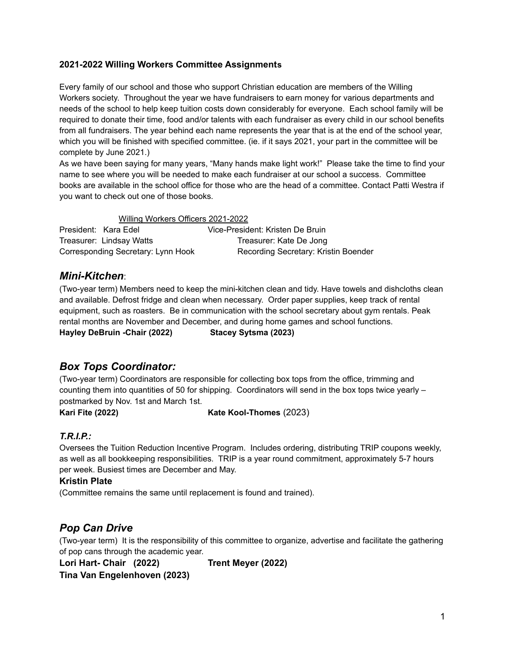#### **2021-2022 Willing Workers Committee Assignments**

Every family of our school and those who support Christian education are members of the Willing Workers society. Throughout the year we have fundraisers to earn money for various departments and needs of the school to help keep tuition costs down considerably for everyone. Each school family will be required to donate their time, food and/or talents with each fundraiser as every child in our school benefits from all fundraisers. The year behind each name represents the year that is at the end of the school year, which you will be finished with specified committee. (ie. if it says 2021, your part in the committee will be complete by June 2021.)

As we have been saying for many years, "Many hands make light work!" Please take the time to find your name to see where you will be needed to make each fundraiser at our school a success. Committee books are available in the school office for those who are the head of a committee. Contact Patti Westra if you want to check out one of those books.

Willing Workers Officers 2021-2022 President: Kara Edel Vice-President: Kristen De Bruin Treasurer: Lindsay Watts Treasurer: Kate De Jong Corresponding Secretary: Lynn Hook Recording Secretary: Kristin Boender

## *Mini-Kitchen*:

(Two-year term) Members need to keep the mini-kitchen clean and tidy. Have towels and dishcloths clean and available. Defrost fridge and clean when necessary. Order paper supplies, keep track of rental equipment, such as roasters. Be in communication with the school secretary about gym rentals. Peak rental months are November and December, and during home games and school functions. **Hayley DeBruin -Chair (2022) Stacey Sytsma (2023)**

## *Box Tops Coordinator:*

(Two-year term) Coordinators are responsible for collecting box tops from the office, trimming and counting them into quantities of 50 for shipping. Coordinators will send in the box tops twice yearly – postmarked by Nov. 1st and March 1st.

**Kari Fite (2022) Kate Kool-Thomes** (2023)

#### *T.R.I.P.:*

Oversees the Tuition Reduction Incentive Program. Includes ordering, distributing TRIP coupons weekly, as well as all bookkeeping responsibilities. TRIP is a year round commitment, approximately 5-7 hours per week. Busiest times are December and May.

#### **Kristin Plate**

(Committee remains the same until replacement is found and trained).

## *Pop Can Drive*

(Two-year term) It is the responsibility of this committee to organize, advertise and facilitate the gathering of pop cans through the academic year.

**Lori Hart- Chair (2022) Trent Meyer (2022) Tina Van Engelenhoven (2023)**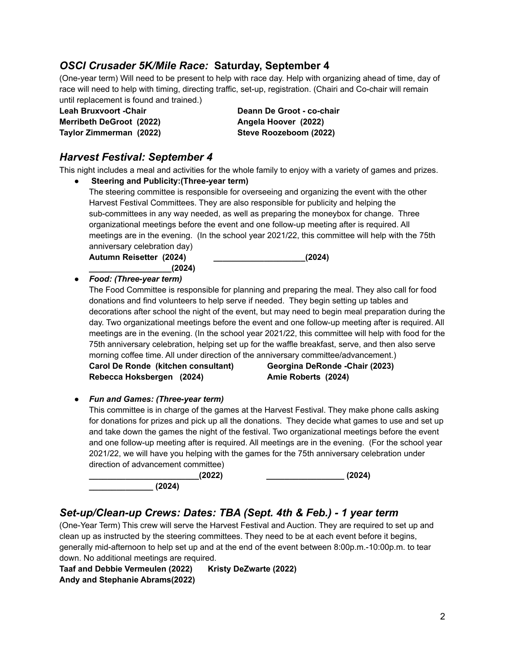## *OSCI Crusader 5K/Mile Race:* **Saturday, September 4**

(One-year term) Will need to be present to help with race day. Help with organizing ahead of time, day of race will need to help with timing, directing traffic, set-up, registration. (Chairi and Co-chair will remain until replacement is found and trained.)

**Leah Bruxvoort -Chair Deann De Groot - co-chair Merribeth DeGroot (2022) Angela Hoover (2022)**

**Taylor Zimmerman (2022) Steve Roozeboom (2022)**

# *Harvest Festival: September 4*

This night includes a meal and activities for the whole family to enjoy with a variety of games and pri

| ils night includes a meal and activities for the whole family to enjoy with a variety of games and prizes. |                                 |  |
|------------------------------------------------------------------------------------------------------------|---------------------------------|--|
| <b>Steering and Publicity: (Three-year term)</b>                                                           |                                 |  |
| The steering committee is responsible for overseeing and organizing the event with the other               |                                 |  |
| Harvest Festival Committees. They are also responsible for publicity and helping the                       |                                 |  |
| sub-committees in any way needed, as well as preparing the moneybox for change. Three                      |                                 |  |
| organizational meetings before the event and one follow-up meeting after is required. All                  |                                 |  |
| meetings are in the evening. (In the school year 2021/22, this committee will help with the 75th           |                                 |  |
| anniversary celebration day)                                                                               |                                 |  |
| Autumn Reisetter (2024)                                                                                    | (2024)                          |  |
| (2024)                                                                                                     |                                 |  |
| Food: (Three-year term)                                                                                    |                                 |  |
| The Food Committee is responsible for planning and preparing the meal. They also call for food             |                                 |  |
| donations and find volunteers to help serve if needed. They begin setting up tables and                    |                                 |  |
| decorations after school the night of the event, but may need to begin meal preparation during the         |                                 |  |
| day. Two organizational meetings before the event and one follow-up meeting after is required. All         |                                 |  |
| meetings are in the evening. (In the school year 2021/22, this committee will help with food for the       |                                 |  |
| 75th anniversary celebration, helping set up for the waffle breakfast, serve, and then also serve          |                                 |  |
| morning coffee time. All under direction of the anniversary committee/advancement.)                        |                                 |  |
| Carol De Ronde (kitchen consultant)                                                                        | Georgina DeRonde - Chair (2023) |  |
| Rebecca Hoksbergen (2024)                                                                                  | Amie Roberts (2024)             |  |
|                                                                                                            |                                 |  |
| <b>Fun and Games: (Three-year term)</b>                                                                    |                                 |  |
| This committee is in charge of the games at the Harvest Festival. They make phone calls asking             |                                 |  |
| for donations for prizes and pick up all the donations. They decide what games to use and set up           |                                 |  |
| and take down the games the night of the festival. Two organizational meetings before the event            |                                 |  |
| and one follow-up meeting after is required. All meetings are in the evening. (For the school year         |                                 |  |
| 2021/22, we will have you helping with the games for the 75th anniversary celebration under                |                                 |  |
| direction of advancement committee)                                                                        |                                 |  |
| (2022)                                                                                                     | (2024)                          |  |
| (2024)                                                                                                     |                                 |  |
|                                                                                                            |                                 |  |

## *Set-up/Clean-up Crews: Dates: TBA (Sept. 4th & Feb.) - 1 year term*

(One-Year Term) This crew will serve the Harvest Festival and Auction. They are required to set up and clean up as instructed by the steering committees. They need to be at each event before it begins, generally mid-afternoon to help set up and at the end of the event between 8:00p.m.-10:00p.m. to tear down. No additional meetings are required.

**Taaf and Debbie Vermeulen (2022) Kristy DeZwarte (2022) Andy and Stephanie Abrams(2022)**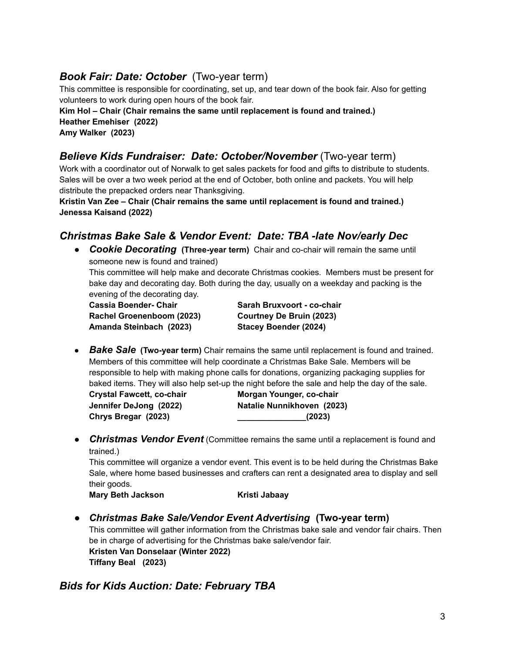# *Book Fair: Date: October* (Two-year term)

This committee is responsible for coordinating, set up, and tear down of the book fair. Also for getting volunteers to work during open hours of the book fair.

**Kim Hol – Chair (Chair remains the same until replacement is found and trained.) Heather Emehiser (2022) Amy Walker (2023)**

## *Believe Kids Fundraiser: Date: October/November* (Two-year term)

Work with a coordinator out of Norwalk to get sales packets for food and gifts to distribute to students. Sales will be over a two week period at the end of October, both online and packets. You will help distribute the prepacked orders near Thanksgiving.

**Kristin Van Zee – Chair (Chair remains the same until replacement is found and trained.) Jenessa Kaisand (2022)**

## *Christmas Bake Sale & Vendor Event: Date: TBA -late Nov/early Dec*

● *Cookie Decorating* **(Three-year term)** Chair and co-chair will remain the same until someone new is found and trained)

This committee will help make and decorate Christmas cookies. Members must be present for bake day and decorating day. Both during the day, usually on a weekday and packing is the evening of the decorating day.

**Cassia Boender- Chair Sarah Bruxvoort - co-chair Rachel Groenenboom (2023) Courtney De Bruin (2023) Amanda Steinbach (2023) Stacey Boender (2024)**

● *Bake Sale* **(Two-year term)** Chair remains the same until replacement is found and trained. Members of this committee will help coordinate a Christmas Bake Sale. Members will be responsible to help with making phone calls for donations, organizing packaging supplies for baked items. They will also help set-up the night before the sale and help the day of the sale.

**Chrys Bregar (2023) \_\_\_\_\_\_\_\_\_\_\_\_\_\_\_(2023)**

**Crystal Fawcett, co-chair Morgan Younger, co-chair Jennifer DeJong (2022) Natalie Nunnikhoven (2023)**

**• Christmas Vendor Event** (Committee remains the same until a replacement is found and trained.)

This committee will organize a vendor event. This event is to be held during the Christmas Bake Sale, where home based businesses and crafters can rent a designated area to display and sell their goods.

**Mary Beth Jackson Kristi Jabaay**

*● Christmas Bake Sale/Vendor Event Advertising* **(Two-year term)** This committee will gather information from the Christmas bake sale and vendor fair chairs. Then be in charge of advertising for the Christmas bake sale/vendor fair. **Kristen Van Donselaar (Winter 2022) Tiffany Beal (2023)**

## *Bids for Kids Auction: Date: February TBA*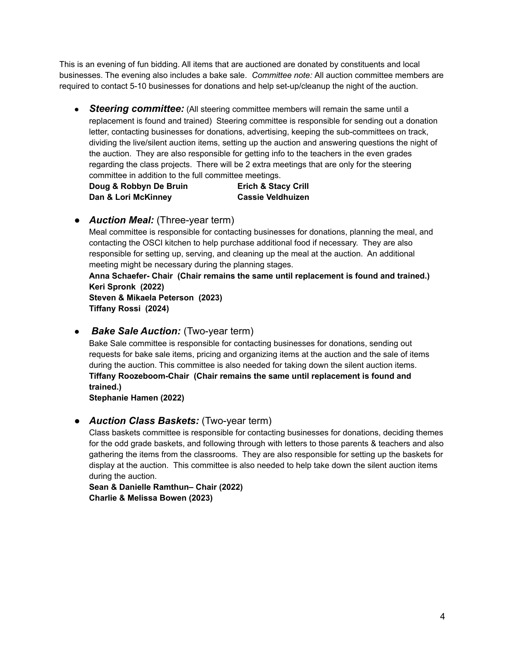This is an evening of fun bidding. All items that are auctioned are donated by constituents and local businesses. The evening also includes a bake sale. *Committee note:* All auction committee members are required to contact 5-10 businesses for donations and help set-up/cleanup the night of the auction.

• **Steering committee:** (All steering committee members will remain the same until a replacement is found and trained) Steering committee is responsible for sending out a donation letter, contacting businesses for donations, advertising, keeping the sub-committees on track, dividing the live/silent auction items, setting up the auction and answering questions the night of the auction. They are also responsible for getting info to the teachers in the even grades regarding the class projects. There will be 2 extra meetings that are only for the steering committee in addition to the full committee meetings.

**Doug & Robbyn De Bruin Erich & Stacy Crill Dan & Lori McKinney Cassie Veldhuizen**

*● Auction Meal:* (Three-year term)

Meal committee is responsible for contacting businesses for donations, planning the meal, and contacting the OSCI kitchen to help purchase additional food if necessary. They are also responsible for setting up, serving, and cleaning up the meal at the auction. An additional meeting might be necessary during the planning stages.

**Anna Schaefer- Chair (Chair remains the same until replacement is found and trained.) Keri Spronk (2022)**

**Steven & Mikaela Peterson (2023) Tiffany Rossi (2024)**

**Bake Sale Auction:** (Two-year term)

Bake Sale committee is responsible for contacting businesses for donations, sending out requests for bake sale items, pricing and organizing items at the auction and the sale of items during the auction. This committee is also needed for taking down the silent auction items. **Tiffany Roozeboom-Chair (Chair remains the same until replacement is found and trained.)**

**Stephanie Hamen (2022)**

#### *● Auction Class Baskets:* (Two-year term)

Class baskets committee is responsible for contacting businesses for donations, deciding themes for the odd grade baskets, and following through with letters to those parents & teachers and also gathering the items from the classrooms. They are also responsible for setting up the baskets for display at the auction. This committee is also needed to help take down the silent auction items during the auction.

**Sean & Danielle Ramthun– Chair (2022) Charlie & Melissa Bowen (2023)**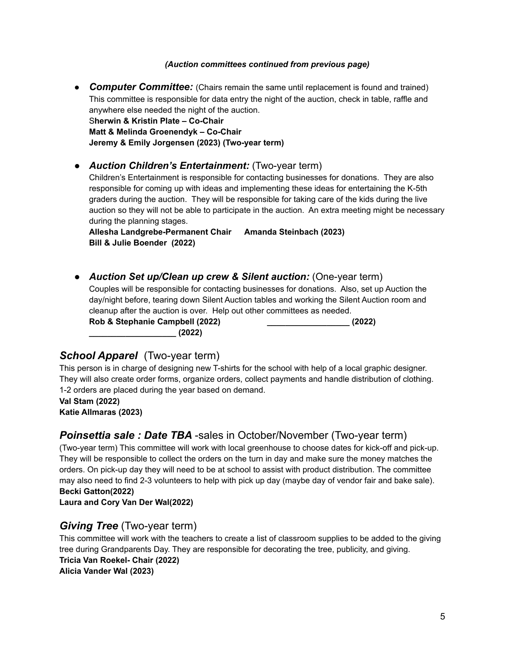#### *(Auction committees continued from previous page)*

**• Computer Committee:** (Chairs remain the same until replacement is found and trained) This committee is responsible for data entry the night of the auction, check in table, raffle and anywhere else needed the night of the auction. S**herwin & Kristin Plate – Co-Chair Matt & Melinda Groenendyk – Co-Chair Jeremy & Emily Jorgensen (2023) (Two-year term)**

#### *● Auction Children's Entertainment:* (Two-year term)

Children's Entertainment is responsible for contacting businesses for donations. They are also responsible for coming up with ideas and implementing these ideas for entertaining the K-5th graders during the auction. They will be responsible for taking care of the kids during the live auction so they will not be able to participate in the auction. An extra meeting might be necessary during the planning stages.

**Allesha Landgrebe-Permanent Chair Amanda Steinbach (2023) Bill & Julie Boender (2022)**

*● Auction Set up/Clean up crew & Silent auction:* (One-year term) Couples will be responsible for contacting businesses for donations. Also, set up Auction the day/night before, tearing down Silent Auction tables and working the Silent Auction room and cleanup after the auction is over. Help out other committees as needed. **Rob & Stephanie Campbell (2022) \_\_\_\_\_\_\_\_\_\_\_\_\_\_\_\_\_\_ (2022) \_\_\_\_\_\_\_\_\_\_\_\_\_\_\_\_\_\_\_ (2022)**

## *School Apparel* (Two-year term)

This person is in charge of designing new T-shirts for the school with help of a local graphic designer. They will also create order forms, organize orders, collect payments and handle distribution of clothing. 1-2 orders are placed during the year based on demand.

**Val Stam (2022) Katie Allmaras (2023)**

## *Poinsettia sale : Date TBA* -sales in October/November (Two-year term)

(Two-year term) This committee will work with local greenhouse to choose dates for kick-off and pick-up. They will be responsible to collect the orders on the turn in day and make sure the money matches the orders. On pick-up day they will need to be at school to assist with product distribution. The committee may also need to find 2-3 volunteers to help with pick up day (maybe day of vendor fair and bake sale). **Becki Gatton(2022)**

#### **Laura and Cory Van Der Wal(2022)**

## *Giving Tree* (Two-year term)

This committee will work with the teachers to create a list of classroom supplies to be added to the giving tree during Grandparents Day. They are responsible for decorating the tree, publicity, and giving. **Tricia Van Roekel- Chair (2022) Alicia Vander Wal (2023)**